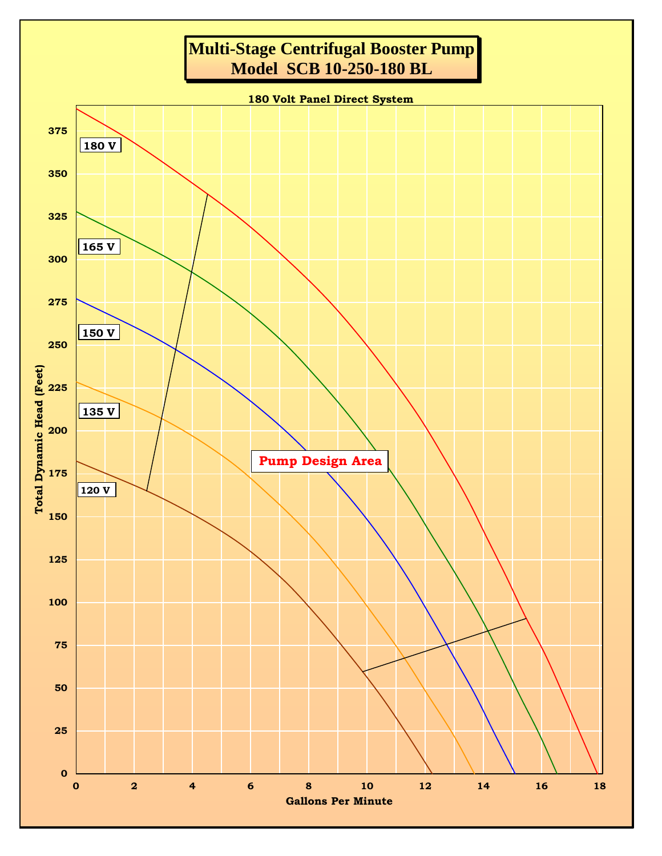